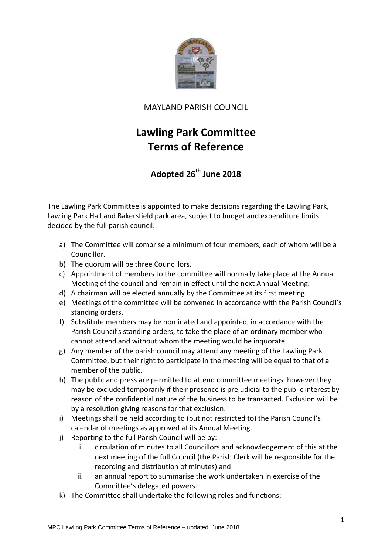

## MAYLAND PARISH COUNCIL

## **Lawling Park Committee Terms of Reference**

## **Adopted 26th June 2018**

The Lawling Park Committee is appointed to make decisions regarding the Lawling Park, Lawling Park Hall and Bakersfield park area, subject to budget and expenditure limits decided by the full parish council.

- a) The Committee will comprise a minimum of four members, each of whom will be a Councillor.
- b) The quorum will be three Councillors.
- c) Appointment of members to the committee will normally take place at the Annual Meeting of the council and remain in effect until the next Annual Meeting.
- d) A chairman will be elected annually by the Committee at its first meeting.
- e) Meetings of the committee will be convened in accordance with the Parish Council's standing orders.
- f) Substitute members may be nominated and appointed, in accordance with the Parish Council's standing orders, to take the place of an ordinary member who cannot attend and without whom the meeting would be inquorate.
- g) Any member of the parish council may attend any meeting of the Lawling Park Committee, but their right to participate in the meeting will be equal to that of a member of the public.
- h) The public and press are permitted to attend committee meetings, however they may be excluded temporarily if their presence is prejudicial to the public interest by reason of the confidential nature of the business to be transacted. Exclusion will be by a resolution giving reasons for that exclusion.
- i) Meetings shall be held according to (but not restricted to) the Parish Council's calendar of meetings as approved at its Annual Meeting.
- j) Reporting to the full Parish Council will be by:
	- i. circulation of minutes to all Councillors and acknowledgement of this at the next meeting of the full Council (the Parish Clerk will be responsible for the recording and distribution of minutes) and
	- ii. an annual report to summarise the work undertaken in exercise of the Committee's delegated powers.
- k) The Committee shall undertake the following roles and functions: -